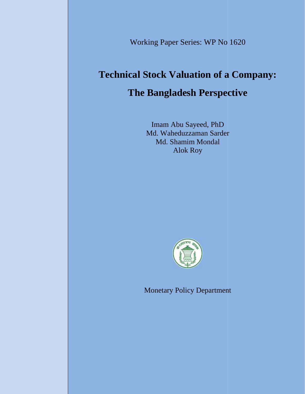Working Paper Series: WP No 1620 Series: WP

# **Technical Stock Valuation of a Company: of a The Bangladesh Perspective**

Imam Abu Sayeed, PhD Md. Waheduzzaman Sarder Md. Shamim Mondal Alok Roy Md. Waheduzzaman Sarder<br>Md. Shamim Mondal<br>Alok Roy<br>Monetary Policy Departmen



Monetary Policy Department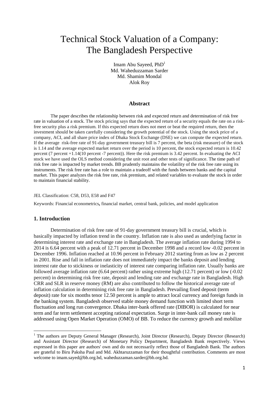# Technical Stock Valuation of a Company: The Bangladesh Perspective

Imam Abu Sayeed, PhD<sup>1</sup> Md. Waheduzzaman Sarder Md. Shamim Mondal Alok Roy

#### **Abstract**

The paper describes the relationship between risk and expected return and determination of risk free rate in valuation of a stock. The stock pricing says that the expected return of a security equals the rate on a riskfree security plus a risk premium. If this expected return does not meet or beat the required return, then the investment should be taken carefully considering the growth potential of the stock. Using the stock price of a company, ACI, and all share price index of Dhaka Stock Exchange (DSE) we can compute the expected return. If the average risk-free rate of 91-day government treasury bill is 7 percent, the beta (risk measure) of the stock is 1.14 and the average expected market return over the period is 10 percent, the stock expected return is 10.42 percent (7 percent +1.14(10 percent -7 percent)). Here the risk premium is 3.42 percent. In evaluating the ACI stock we have used the OLS method considering the unit root and other tests of significance. The time path of risk free rate is impacted by market trends. BB prudently maintains the volatility of the risk free rate using its instruments. The risk free rate has a role to maintain a tradeoff with the funds between banks and the capital market. This paper analyzes the risk free rate, risk premium, and related variables to evaluate the stock in order to maintain financial stability.

#### JEL Classification: C58, D53, E58 and F47

Keywords: Financial econometrics**,** financial market, central bank, policies, and model application

#### **1. Introduction**

Determination of risk free rate of 91-day government treasury bill is crucial, which is basically impacted by inflation trend in the country. Inflation rate is also used as underlying factor in determining interest rate and exchange rate in Bangladesh. The average inflation rate during 1994 to 2014 is 6.64 percent with a peak of 12.71 percent in December 1998 and a record low -0.02 percent in December 1996. Inflation reached at 10.96 percent in February 2012 starting from as low as 2 percent in 2001. Rise and fall in inflation rate does not immediately impact the banks deposit and lending interest rate due to stickiness or inelasticity of interest rate comparing inflation rate. Usually banks are followed average inflation rate (6.64 percent) rather using extreme high (12.71 percent) or low (-0.02 percent) in determining risk free rate, deposit and lending rate and exchange rate in Bangladesh. High CRR and SLR in reserve money (RM) are also contributed to follow the historical average rate of inflation calculation in determining risk free rate in Bangladesh. Prevailing fixed deposit (term deposit) rate for six months tenor 12.50 percent is ample to attract local currency and foreign funds in the banking system. Bangladesh observed stable money demand function with limited short term fluctuation and long run convergence. Dhaka inter-bank offered rate (DIBOR) is calculated for near term and far term settlement accepting rational expectation. Surge in inter-bank call money rate is addressed using Open Market Operation (OMO) of BB. To reduce the currency growth and mobilize

<sup>&</sup>lt;sup>1</sup> The authors are Deputy General Manager (Research), Joint Director (Research), Deputy Director (Research) and Assistant Director (Research) of Monetary Policy Department, Bangladesh Bank respectively. Views expressed in this paper are authors' own and do not necessarily reflect those of Bangladesh Bank. The authors are grateful to Biru Paksha Paul and Md. Akhtaruzzaman for their thoughtful contribution. Comments are most welcome to imam.sayed@bb.org.bd, waheduzzaman.sarder@bb.org.bd.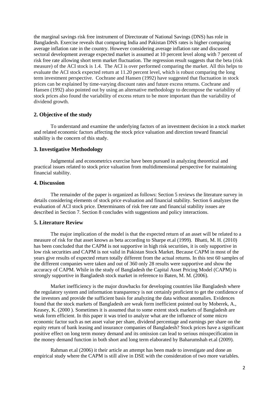the marginal savings risk free instrument of Directorate of National Savings (DNS) has role in Bangladesh. Exercise reveals that comparing India and Pakistan DNS rates is higher comparing average inflation rate in the country. However considering average inflation rate and discussed sectoral development average expected market is assumed at 10 percent level along with 7 percent of risk free rate allowing short term market fluctuation. The regression result suggests that the beta (risk measure) of the ACI stock is 1.4. The ACI is over performed comparing the market. All this helps to evaluate the ACI stock expected return at 11.20 percent level, which is robust comparing the long term investment perspective. Cochrane and Hansen (1992) have suggested that fluctuation in stock prices can be explained by time-varying discount rates and future excess returns. Cochrane and Hansen (1992) also pointed out by using an alternative methodology to decompose the variability of stock prices also found the variability of excess return to be more important than the variability of dividend growth.

#### **2. Objective of the study**

To understand and examine the underlying factors of an investment decision in a stock market and related economic factors affecting the stock price valuation and direction toward financial stability is the concern of this study.

#### **3. Investigative Methodology**

Judgmental and econometrics exercise have been pursued in analyzing theoretical and practical issues related to stock price valuation from multidimensional perspective for maintaining financial stability.

## **4. Discussion**

The remainder of the paper is organized as follows: Section 5 reviews the literature survey in details considering elements of stock price evaluation and financial stability. Section 6 analyzes the evaluation of ACI stock price. Determinants of risk free rate and financial stability issues are described in Section 7. Section 8 concludes with suggestions and policy interactions.

#### **5. Literature Review**

The major implication of the model is that the expected return of an asset will be related to a measure of risk for that asset knows as beta according to Sharpe et.al (1999). Bhatti, M. H. (2010) has been concluded that the CAPM is not supportive in high risk securities, it is only supportive in low risk securities and CAPM is not valid in Pakistan Stock Market. Because CAPM in most of the years give results of expected return totally different from the actual returns. In this test 60 samples of the different companies were taken and out of 360 only 28 results were supportive and show the accuracy of CAPM. While in the study of Bangladesh the Capital Asset Pricing Model (CAPM) is strongly supportive in Bangladesh stock market in reference to Baten, M. M. (2006).

Market inefficiency is the major drawbacks for developing countries like Bangladesh where the regulatory system and information transparency is not certainly proficient to get the confidence of the investors and provide the sufficient basis for analyzing the data without anomalies. Evidences found that the stock markets of Bangladesh are weak form inefficient pointed out by Moberek, A., Keasey, K. (2000 ). Sometimes it is assumed that to some extent stock markets of Bangladesh are weak form efficient. In this paper it was tried to analyze what are the influence of some micro economic factor such as net asset value per share, dividend percentage and earnings per share on the equity return of bank leasing and insurance companies of Bangladesh? Stock prices have a significant positive effect on long term money demand and its omission can lead to serious misspecification in the money demand function in both short and long term elaborated by Baharumshah et.al (2009).

Rahman et.al (2006) it their article an attempt has been made to investigate and done an empirical study where the CAPM is still alive in DSE with the consideration of two more variables.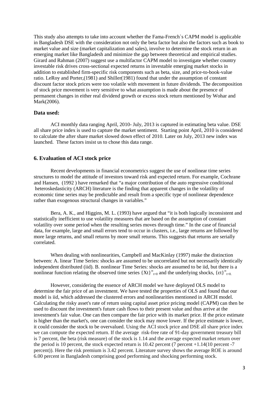This study also attempts to take into account whether the Fama-French`s CAPM model is applicable in Bangladesh DSE with the consideration not only the beta factor but also the factors such as book to market value and size (market capitalization and sales), involve to determine the stock return in an emerging market like Bangladesh and minimize the gap between theoretical and empirical studies. Girard and Rahman (2007) suggest use a multifactor CAPM model to investigate whether country investable risk drives cross-sectional expected returns in investable emerging market stocks in addition to established firm-specific risk components such as beta, size, and price-to-book-value ratio. LeRoy and Porter,(1981) and Shiller(1981) found that under the assumption of constant discount factor stock prices were too volatile with movement in future dividends. The decomposition of stock price movement is very sensitive to what assumption is made about the presence of permanent changes in either real dividend growth or excess stock return mentioned by Wohar and Mark(2006).

#### **Data used:**

ACI monthly data ranging April, 2010- July, 2013 is captured in estimating beta value. DSE all share price index is used to capture the market sentiment. Starting point April, 2010 is considered to calculate the after share market slowed down effect of 2010. Later on July, 2013 new index was launched. These factors insist us to chose this data range.

#### **6. Evaluation of ACI stock price**

Recent developments in financial econometrics suggest the use of nonlinear time series structures to model the attitude of investors toward risk and expected return. For example, Cochrane and Hansen, (1992 ) have remarked that "a major contribution of the auto regressive conditional heteroskedasticity (ARCH) literature is the finding that apparent changes in the volatility of economic time series may be predictable and result from a specific type of nonlinear dependence rather than exogenous structural changes in variables."

Bera, A. K., and Higgins, M. L. (1993) have argued that "it is both logically inconsistent and statistically inefficient to use volatility measures that are based on the assumption of constant volatility over some period when the resulting series moves through time." In the case of financial data, for example, large and small errors tend to occur in clusters, i.e., large returns are followed by more large returns, and small returns by more small returns. This suggests that returns are serially correlated.

When dealing with nonlinearities, Campbell and MacKinlay (1997) make the distinction between: A. linear Time Series: shocks are assumed to be uncorrelated but not necessarily identically independent distributed (iid). B. nonlinear Time Series: shocks are assumed to be iid, but there is a nonlinear function relating the observed time series  $\{X_t\}_{t=0}$  and the underlying shocks,  $\{t\}_{t=0}$ .

However, considering the essence of ARCH model we have deployed OLS model to determine the fair price of an investment. We have tested the properties of OLS and found that our model is iid, which addressed the clustered errors and nonlinearities mentioned in ARCH model. Calculating the risky asset's rate of return using capital asset price pricing model (CAPM) can then be used to discount the investment's future cash flows to their present value and thus arrive at the investment's fair value. One can then compare the fair price with its market price. If the price estimate is higher than the market's, one can consider the stock may move lower. If the price estimate is lower, it could consider the stock to be overvalued. Using the ACI stock price and DSE all share price index we can compute the expected return. If the average risk-free rate of 91-day government treasury bill is 7 percent, the beta (risk measure) of the stock is 1.14 and the average expected market return over the period is 10 percent, the stock expected return is 10.42 percent (7 percent +1.14(10 percent -7 percent)). Here the risk premium is 3.42 percent. Literature survey shows the average ROE is around 6.00 percent in Bangladesh comprising good performing and shocking performing stock.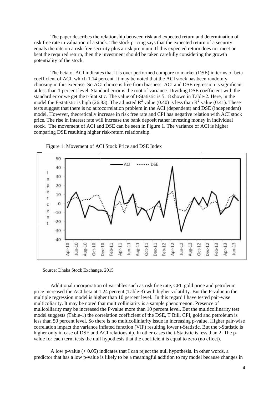The paper describes the relationship between risk and expected return and determination of risk free rate in valuation of a stock. The stock pricing says that the expected return of a security The paper describes the relationship between risk and expected return and determination of<br>risk free rate in valuation of a stock. The stock pricing says that the expected return of a security<br>equals the rate on a risk-fre beat the required return, then the investment should be taken carefully considering the growth potentiality of the stock.

The beta of ACI indicates that it is over performed compare to market (DSE) in terms of beta coefficient of ACI, which 1.14 percent. It may be noted that the ACI stock has been randomly choosing in this exercise. So ACI choice is free from biasness. ACI and DSE regression is significant at less than 1 percent level. Standard error is the root of variance. Dividing DSE coefficient with the standard error we get the t-Statistic. The value of t-Statistic is 5.18 shown in Table-2. Here, in the model the F-statistic is high (26.83). The adjusted  $R^2$  value (0.40) is less than  $R^2$  value (0.41). These tests suggest that there is no autocorrelation problem in the ACI (dependent) and DSE (independent) model. However, theoretically increase in risk free rate and CPI has negative relation with ACI stock price. The rise in interest rate will increase the bank deposit rather investing money in individual stock. The movement of ACI and DSE can be seen in Figure 1. The variance of ACI is higher comparing DSE resulting higher risk-return relationship. beat the required return, then the investment should be taken carefully considering the growth<br>potentiality of the stock.<br>The beta of ACI indicates that it is over performed compare to market (DSE) in terms of bet<br>coeffic Stock The rise in interest rate will increase in risk free rate and CPI has negative relation with ACI stock<br>The rise in interest rate will increase the bank deposit rather investing money in individual<br>The movement of ACI



Figure 1: Movement of ACI Stock Price and DSE Index

Source: Dhaka Stock Exchange, 2015

Additional incorporation of variables such as risk free rate, CPI, gold price and petroleum price increased the ACI beta at 1.24 percent (Table-3) with higher volatility. But the P-value in the price increased the ACI beta at 1.24 percent (Table-3) with higher volatility. But the P-value in the multiple regression model is higher than 10 percent level. In this regard I have tested pair-wise multicoliarity. It may be noted that multicolliniarity is a sample phenomenon. Presence of mulicolliarity may be increased the P-value more than 10 percent level. But the multicollinarity test model suggests (Table-1) the correlation coefficient of the DSE, T Bill, CPI, gold and petroleum is less than 50 percent level. So there is no multicolliniarity issue in increasing p-value. Higher pair-wise correlation impact the variance inflated function (VIF) resulting lower t-Statistic. But the t-Statistic is higher only in case of DSE and ACI relationship. In other cases the t-Statistic is less than 2. The pvalue for each term tests the null hypothesis that the coefficient is equal to zero (no effect).

A low p-value  $(< 0.05$ ) indicates that I can reject the null hypothesis. In other words, a predictor that has a low p-value is likely to be a meaningful addition to my model because changes in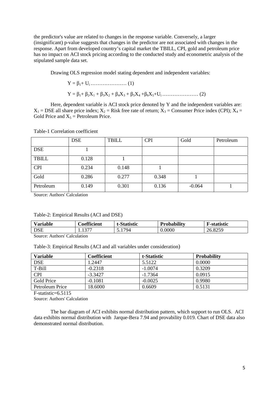the predictor's value are related to changes in the response variable. Conversely, a larger (insignificant) p-value suggests that changes in the predictor are not associated with changes in the response. Apart from developed country's capital market the TBILL, CPI, gold and petroleum price has no impact on ACI stock pricing according to the conducted study and econometric analysis of the stipulated sample data set.

Drawing OLS regression model stating dependent and independent variables:

Y = β1+ Ui………………… (1) Y = β1+ β2X<sup>1</sup> + β3X<sup>2</sup> + β4X<sup>3</sup> + β5X<sup>4</sup> +β6X5+Ui………………… (2)

Here, dependent variable is ACI stock price denoted by Y and the independent variables are:  $X_1 = DSE$  all share price index;  $X_2 = Risk$  free rate of return;  $X_3 =$  Consumer Price index (CPI);  $X_4 =$ Gold Price and  $X_5$  = Petroleum Price.

|              | <b>DSE</b> | <b>TBILL</b> | <b>CPI</b> | Gold     | Petroleum |
|--------------|------------|--------------|------------|----------|-----------|
| <b>DSE</b>   |            |              |            |          |           |
| <b>TBILL</b> | 0.128      |              |            |          |           |
| <b>CPI</b>   | 0.234      | 0.148        |            |          |           |
| Gold         | 0.286      | 0.277        | 0.348      |          |           |
| Petroleum    | 0.149      | 0.301        | 0.136      | $-0.064$ |           |

Table-1 Correlation coefficient

Source: Authors' Calculation

#### Table-2: Empirical Results (ACI and DSE)

| <b>Variable</b> | Coefficient | tatistic | Probabilitv | F-statistic     |
|-----------------|-------------|----------|-------------|-----------------|
| <b>DSE</b>      | $\sim$<br>. | .794     | 0.0000      | 8259<br>20.8235 |

Source: Authors' Calculation

Table-3: Empirical Results (ACI and all variables under consideration)

| <b>Variable</b> | Coefficient | t-Statistic | <b>Probability</b> |
|-----------------|-------------|-------------|--------------------|
| <b>DSE</b>      | 1.2447      | 5.5122      | 0.0000             |
| T-Bill          | $-0.2318$   | $-1.0074$   | 0.3209             |
| <b>CPI</b>      | $-3.3427$   | $-1.7364$   | 0.0915             |
| Gold Price      | $-0.1081$   | $-0.0025$   | 0.9980             |
| Petroleum Price | 18.6000     | 0.6609      | 0.5131             |

F-statistic=6.5115

Source: Authors' Calculation

The bar diagram of ACI exhibits normal distribution pattern, which support to run OLS. ACI data exhibits normal distribution with Jarque-Bera 7.94 and provability 0.019. Chart of DSE data also demonstrated normal distribution.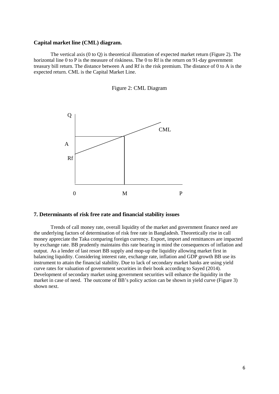#### **Capital market line (CML) diagram.**

The vertical axis (0 to Q) is theoretical illustration of expected market return (Figure 2). The horizontal line 0 to P is the measure of riskiness. The 0 to Rf is the return on 91-day government treasury bill return. The distance between A and Rf is the risk premium. The distance of 0 to A is the expected return. CML is the Capital Market Line.





#### **7. Determinants of risk free rate and financial stability issues**

Trends of call money rate, overall liquidity of the market and government finance need are the underlying factors of determination of risk free rate in Bangladesh. Theoretically rise in call money appreciate the Taka comparing foreign currency. Export, import and remittances are impacted by exchange rate. BB prudently maintains this rate bearing in mind the consequences of inflation and output. As a lender of last resort BB supply and mop-up the liquidity allowing market first in balancing liquidity. Considering interest rate, exchange rate, inflation and GDP growth BB use its instrument to attain the financial stability. Due to lack of secondary market banks are using yield curve rates for valuation of government securities in their book according to Sayed (2014). Development of secondary market using government securities will enhance the liquidity in the market in case of need. The outcome of BB's policy action can be shown in yield curve (Figure 3) shown next.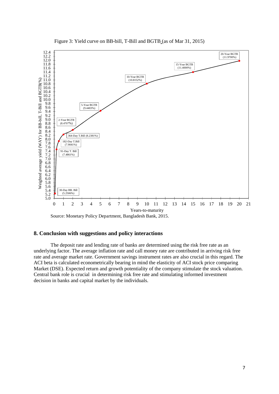

Figure 3: Yield curve on BB-bill, T-Bill and BGTB (as of Mar 31, 2015)

### **8. Conclusion with suggestions and policy interactions**

The deposit rate and lending rate of banks are determined using the risk free rate as an underlying factor. The average inflation rate and call money rate are contributed in arriving risk free rate and average market rate. Government savings instrument rates are also crucial in this regard. The ACI beta is calculated econometrically bearing in mind the elasticity of ACI stock price comparing Market (DSE). Expected return and growth potentiality of the company stimulate the stock valuation. Central bank role is crucial in determining risk free rate and stimulating informed investment decision in banks and capital market by the individuals.